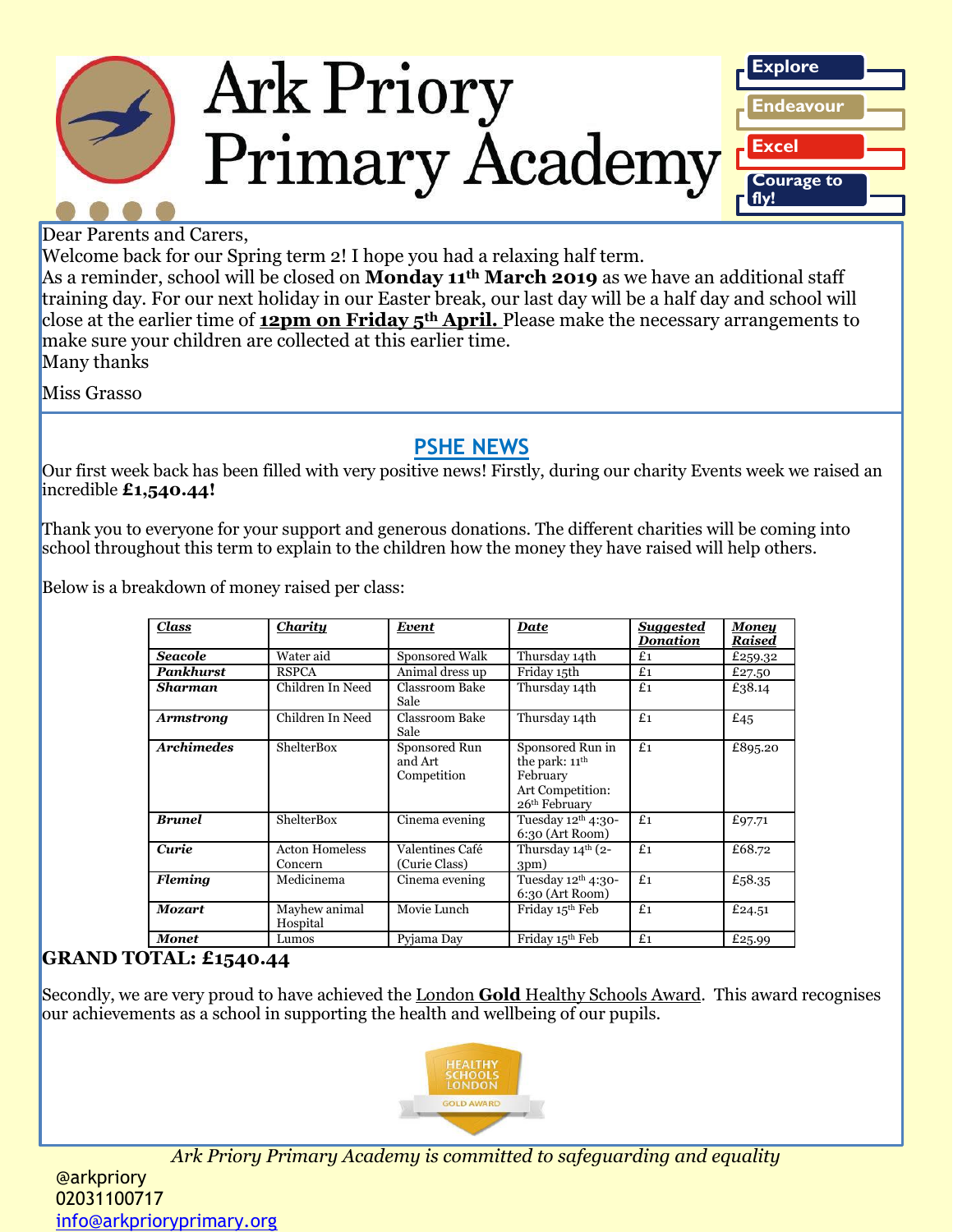



Welcome back for our Spring term 2! I hope you had a relaxing half term.

As a reminder, school will be closed on **Monday 11th March 2019** as we have an additional staff training day. For our next holiday in our Easter break, our last day will be a half day and school will close at the earlier time of **12pm on Friday 5th April.** Please make the necessary arrangements to make sure your children are collected at this earlier time. Many thanks

Miss Grasso

#### **PSHE NEWS**

Our first week back has been filled with very positive news! Firstly, during our charity Events week we raised an incredible **£1,540.44!**

Thank you to everyone for your support and generous donations. The different charities will be coming into school throughout this term to explain to the children how the money they have raised will help others.

Below is a breakdown of money raised per class:

| <b>Class</b>      | <b>Charity</b>                   | Event                                   | <b>Date</b>                                                                                                 | <b>Suggested</b><br><b>Donation</b> | <u>Money</u><br>Raised |
|-------------------|----------------------------------|-----------------------------------------|-------------------------------------------------------------------------------------------------------------|-------------------------------------|------------------------|
| <b>Seacole</b>    | Water aid                        | Sponsored Walk                          | Thursday 14th                                                                                               | £1                                  | £259.32                |
| Pankhurst         | <b>RSPCA</b>                     | Animal dress up                         | Friday 15th                                                                                                 | £1                                  | £27.50                 |
| Sharman           | Children In Need                 | Classroom Bake<br>Sale                  | Thursday 14th                                                                                               | £1                                  | £38.14                 |
| <b>Armstrong</b>  | Children In Need                 | Classroom Bake<br>Sale                  | Thursday 14th                                                                                               | £1                                  | £45                    |
| <b>Archimedes</b> | <b>ShelterBox</b>                | Sponsored Run<br>and Art<br>Competition | Sponsored Run in<br>the park: 11 <sup>th</sup><br>February<br>Art Competition:<br>26 <sup>th</sup> February | £1                                  | £895.20                |
| <b>Brunel</b>     | <b>ShelterBox</b>                | Cinema evening                          | Tuesday 12 <sup>th</sup> 4:30-<br>6:30 (Art Room)                                                           | £1                                  | £97.71                 |
| Curie             | <b>Acton Homeless</b><br>Concern | Valentines Café<br>(Curie Class)        | Thursday 14th (2-<br>3pm)                                                                                   | £1                                  | £68.72                 |
| <b>Fleming</b>    | Medicinema                       | Cinema evening                          | Tuesday 12th 4:30-<br>6:30 (Art Room)                                                                       | £1                                  | £58.35                 |
| <b>Mozart</b>     | Mayhew animal<br>Hospital        | Movie Lunch                             | Friday 15th Feb                                                                                             | £1                                  | £24.51                 |
| <b>Monet</b>      | Lumos                            | Pyjama Day                              | Friday 15 <sup>th</sup> Feb                                                                                 | £1                                  | £25.99                 |

#### **GRAND TOTAL: £1540.44**

Secondly, we are very proud to have achieved the London **Gold** Healthy Schools Award. This award recognises our achievements as a school in supporting the health and wellbeing of our pupils.



*Ark Priory Primary Academy is committed to safeguarding and equality* 

@arkpriory 02031100717 [info@arkprioryprimary.org](mailto:info@arkprioryprimary.org)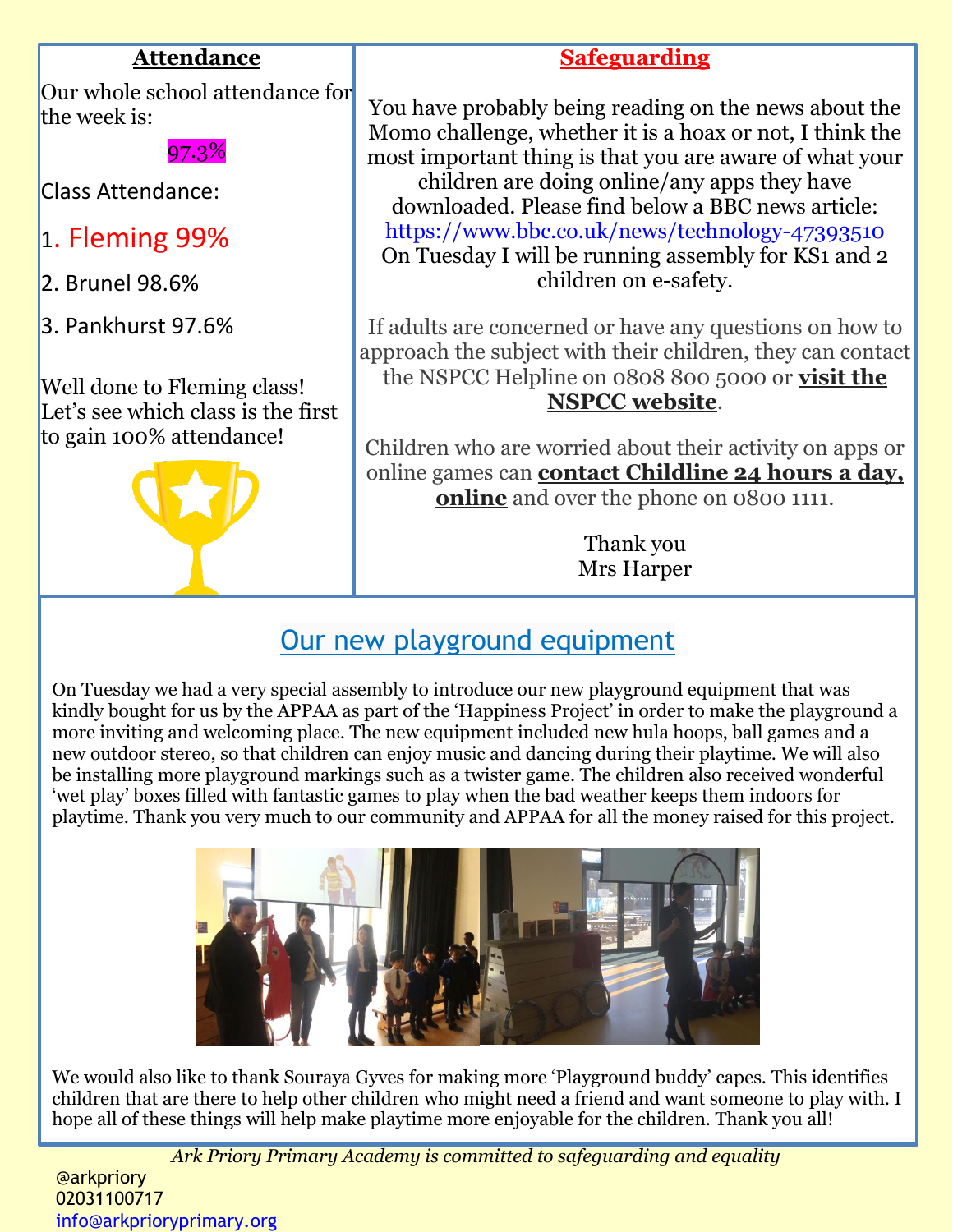#### **Attendance**

Our whole school attendance for the week is:

97.3%

Class Attendance:

- 1. Fleming 99%
- 2. Brunel 98.6%
- 3. Pankhurst 97.6%

Well done to Fleming class! Let's see which class is the first to gain 100% attendance!



### **Safeguarding**

You have probably being reading on the news about the Momo challenge, whether it is a hoax or not, I think the most important thing is that you are aware of what your children are doing online/any apps they have downloaded. Please find below a BBC news article: <https://www.bbc.co.uk/news/technology-47393510> On Tuesday I will be running assembly for KS1 and 2 children on e-safety.

If adults are concerned or have any questions on how to approach the subject with their children, they can contact the NSPCC Helpline on 0808 800 5000 or **[visit](https://www.nspcc.org.uk/) the NSPCC [website](https://www.nspcc.org.uk/)**.

Children who are worried about their activity on apps or online games can **contact [Childline](http://www.childline.org.uk/) 24 hours a day, [online](http://www.childline.org.uk/)** and over the phone on 0800 1111.

> Thank you Mrs Harper

### Our new playground equipment

On Tuesday we had a very special assembly to introduce our new playground equipment that was kindly bought for us by the APPAA as part of the 'Happiness Project' in order to make the playground a more inviting and welcoming place. The new equipment included new hula hoops, ball games and a new outdoor stereo, so that children can enjoy music and dancing during their playtime. We will also be installing more playground markings such as a twister game. The children also received wonderful 'wet play' boxes filled with fantastic games to play when the bad weather keeps them indoors for playtime. Thank you very much to our community and APPAA for all the money raised for this project.



We would also like to thank Souraya Gyves for making more 'Playground buddy' capes. This identifies children that are there to help other children who might need a friend and want someone to play with. I hope all of these things will help make playtime more enjoyable for the children. Thank you all!

*Ark Priory Primary Academy is committed to safeguarding and equality* 

@arkpriory 02031100717 [info@arkprioryprimary.org](mailto:info@arkprioryprimary.org)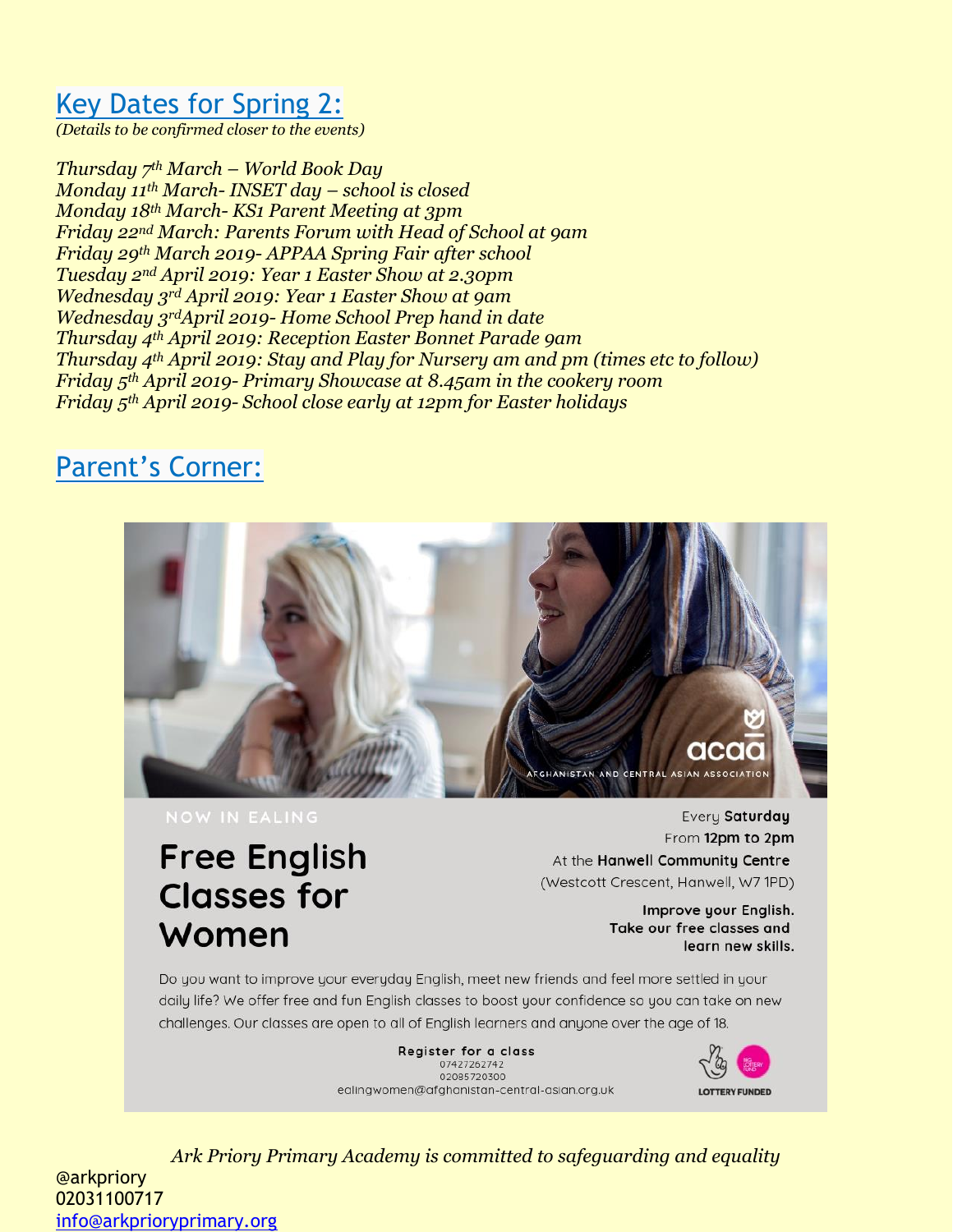## Key Dates for Spring 2:

*(Details to be confirmed closer to the events)*

*Thursday 7th March – World Book Day Monday 11th March- INSET day – school is closed Monday 18th March- KS1 Parent Meeting at 3pm Friday 22nd March: Parents Forum with Head of School at 9am Friday 29th March 2019- APPAA Spring Fair after school Tuesday 2nd April 2019: Year 1 Easter Show at 2.30pm Wednesday 3rd April 2019: Year 1 Easter Show at 9am Wednesday 3rdApril 2019- Home School Prep hand in date Thursday 4th April 2019: Reception Easter Bonnet Parade 9am Thursday 4th April 2019: Stay and Play for Nursery am and pm (times etc to follow) Friday 5th April 2019- Primary Showcase at 8.45am in the cookery room Friday 5th April 2019- School close early at 12pm for Easter holidays*

## Parent's Corner:



# **Free English Classes for** Women

Every Saturday From 12pm to 2pm At the Hanwell Community Centre (Westcott Crescent, Hanwell, W7 1PD)

> Improve your English. Take our free classes and learn new skills.

Do you want to improve your everyday English, meet new friends and feel more settled in your daily life? We offer free and fun English classes to boost your confidence so you can take on new challenges. Our classes are open to all of English learners and anyone over the age of 18.

> Register for a class 07427262742 02085720300 ealingwomen@afghanistan-central-asian.org.uk



*Ark Priory Primary Academy is committed to safeguarding and equality*  @arkpriory 02031100717 [info@arkprioryprimary.org](mailto:info@arkprioryprimary.org)